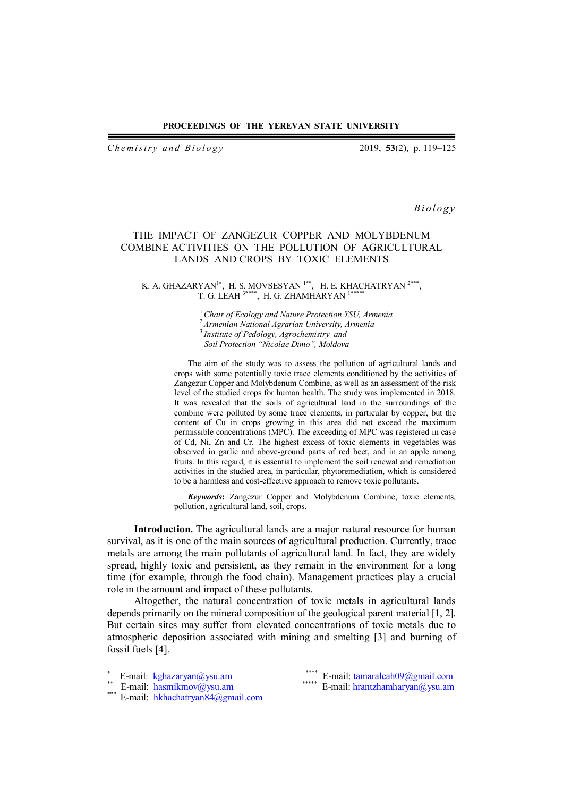#### **PROCEEDINGS OF THE YEREVAN STATE UNIVERSITY**

*Chemistry and Biology* 2019, 53(2), p. 119–125

*B i o l o g y*

# THE IMPACT OF ZANGEZUR COPPER AND MOLYBDENUM COMBINE ACTIVITIES ON THE POLLUTION OF AGRICULTURAL LANDS AND CROPS BY TOXIC ELEMENTS

### K. A. GHAZARYAN $^{1*}$ , H. S. MOVSESYAN  $^{1**}$ , H. E. KHACHATRYAN  $^{2***}$ , T. G. LEAH<sup>3\*\*\*\*</sup>, H. G. ZHAMHARYAN<sup>1\*\*</sup>\*

*Chair of Ecology and Nature Protection YSU, Armenia Armenian National Agrarian University, Armenia Institute of Pedology, Agrochemistry and Soil Protection "Nicolae Dimo", Moldova*

The aim of the study was to assess the pollution of agricultural lands and crops with some potentially toxic trace elements conditioned by the activities of Zangezur Copper and Molybdenum Combine, as well as an assessment of the risk level of the studied crops for human health. The study was implemented in 2018. It was revealed that the soils of agricultural land in the surroundings of the combine were polluted by some trace elements, in particular by copper, but the content of Cu in crops growing in this area did not exceed the maximum permissible concentrations (MPC). The exceeding of MPC was registered in case of Cd, Ni, Zn and Cr. The highest excess of toxic elements in vegetables was observed in garlic and above-ground parts of red beet, and in an apple among fruits. In this regard, it is essential to implement the soil renewal and remediation activities in the studied area, in particular, phytoremediation, which is considered to be a harmless and cost-effective approach to remove toxic pollutants.

*Keywords***:** Zangezur Copper and Molybdenum Combine, toxic elements, pollution, agricultural land, soil, crops.

**Introduction.** The agricultural lands are a major natural resource for human survival, as it is one of the main sources of agricultural production. Currently, trace metals are among the main pollutants of agricultural land. In fact, they are widely spread, highly toxic and persistent, as they remain in the environment for a long time (for example, through the food chain). Management practices play a crucial role in the amount and impact of these pollutants.

Altogether, the natural concentration of toxic metals in agricultural lands depends primarily on the mineral composition of the geological parent material [1, 2]. But certain sites may suffer from elevated concentrations of toxic metals due to atmospheric deposition associated with mining and smelting [3] and burning of fossil fuels [4].

 $\overline{a}$ 

<sup>×</sup> E-mail: kghazaryan@ysu.am

<sup>\*\*</sup> E-mail: hasmikmov@ysu.am

<sup>\*\*\*</sup> E-mail: hkhachatryan84@gmail.com

<sup>\*\*\*\*\*</sup> E-mail: tamaraleah09@gmail.com<br>\*\*\*\*\*\* E-mail: brantzbambaruan@vzu.am

E-mail: hrantzhamharyan@ysu.am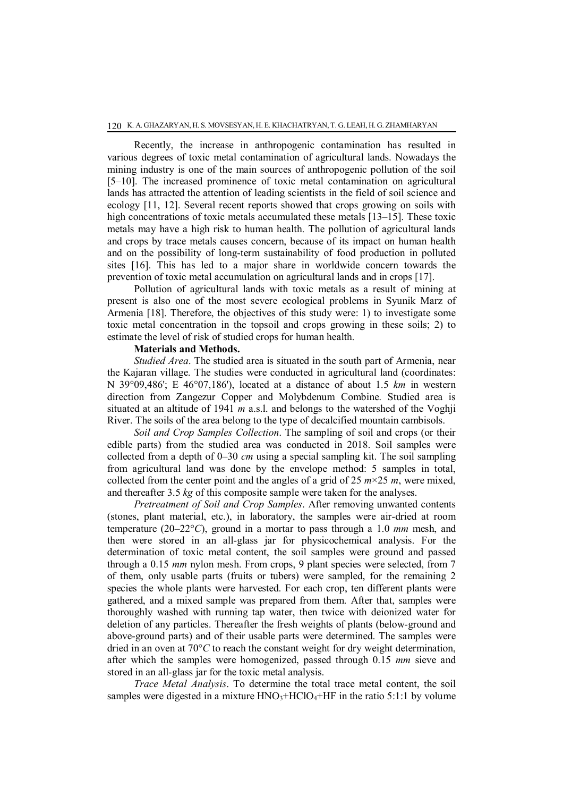Recently, the increase in anthropogenic contamination has resulted in various degrees of toxic metal contamination of agricultural lands. Nowadays the mining industry is one of the main sources of anthropogenic pollution of the soil [5–10]. The increased prominence of toxic metal contamination on agricultural lands has attracted the attention of leading scientists in the field of soil science and ecology [11, 12]. Several recent reports showed that crops growing on soils with high concentrations of toxic metals accumulated these metals [13–15]. These toxic metals may have a high risk to human health. The pollution of agricultural lands and crops by trace metals causes concern, because of its impact on human health and on the possibility of long-term sustainability of food production in polluted sites [16]. This has led to a major share in worldwide concern towards the prevention of toxic metal accumulation on agricultural lands and in crops [17].

Pollution of agricultural lands with toxic metals as a result of mining at present is also one of the most severe ecological problems in Syunik Marz of Armenia [18]. Therefore, the objectives of this study were: 1) to investigate some toxic metal concentration in the topsoil and crops growing in these soils; 2) to estimate the level of risk of studied crops for human health.

# **Materials and Methods.**

*Studied Area*. The studied area is situated in the south part of Armenia, near the Kajaran village. The studies were conducted in agricultural land (coordinates: N 39°09,486'; E 46°07,186'), located at a distance of about 1.5 *km* in western direction from Zangezur Copper and Molybdenum Combine. Studied area is situated at an altitude of 1941 *m* a.s.l. and belongs to the watershed of the Voghji River. The soils of the area belong to the type of decalcified mountain cambisols.

*Soil and Crop Samples Collection*. The sampling of soil and crops (or their edible parts) from the studied area was conducted in 2018. Soil samples were collected from a depth of 0–30 *cm* using a special sampling kit. The soil sampling from agricultural land was done by the envelope method: 5 samples in total, collected from the center point and the angles of a grid of 25  $m \times 25 m$ , were mixed, and thereafter 3.5 *kg* of this composite sample were taken for the analyses.

*Pretreatment of Soil and Crop Samples*. After removing unwanted contents (stones, plant material, etc.), in laboratory, the samples were air-dried at room temperature (20–22°*C*), ground in a mortar to pass through a 1.0 *mm* mesh, and then were stored in an all-glass jar for physicochemical analysis. For the determination of toxic metal content, the soil samples were ground and passed through a 0.15 *mm* nylon mesh. From crops, 9 plant species were selected, from 7 of them, only usable parts (fruits or tubers) were sampled, for the remaining 2 species the whole plants were harvested. For each crop, ten different plants were gathered, and a mixed sample was prepared from them. After that, samples were thoroughly washed with running tap water, then twice with deionized water for deletion of any particles. Thereafter the fresh weights of plants (below-ground and above-ground parts) and of their usable parts were determined. The samples were dried in an oven at 70°*C* to reach the constant weight for dry weight determination, after which the samples were homogenized, passed through 0.15 *mm* sieve and stored in an all-glass jar for the toxic metal analysis.

*Trace Metal Analysis*. To determine the total trace metal content, the soil samples were digested in a mixture  $HNO<sub>3</sub>+HClO<sub>4</sub>+HF$  in the ratio 5:1:1 by volume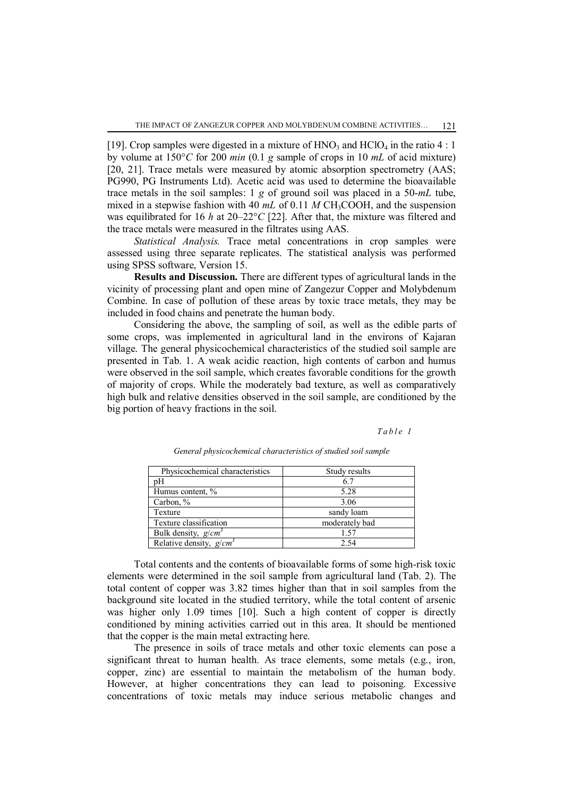[19]. Crop samples were digested in a mixture of  $HNO_3$  and  $HClO_4$  in the ratio 4 : 1 by volume at 150°*C* for 200 *min* (0.1 *g* sample of crops in 10 *mL* of acid mixture) [20, 21]. Trace metals were measured by atomic absorption spectrometry (AAS; PG990, PG Instruments Ltd). Acetic acid was used to determine the bioavailable trace metals in the soil samples: 1 *g* of ground soil was placed in a 50-*mL* tube, mixed in a stepwise fashion with 40  $mL$  of 0.11 M CH<sub>3</sub>COOH, and the suspension was equilibrated for 16 *h* at 20–22°*C* [22]. After that, the mixture was filtered and the trace metals were measured in the filtrates using AAS.

*Statistical Analysis.* Trace metal concentrations in crop samples were assessed using three separate replicates. The statistical analysis was performed using SPSS software, Version 15.

**Results and Discussion.** There are different types of agricultural lands in the vicinity of processing plant and open mine of Zangezur Copper and Molybdenum Combine. In case of pollution of these areas by toxic trace metals, they may be included in food chains and penetrate the human body.

Considering the above, the sampling of soil, as well as the edible parts of some crops, was implemented in agricultural land in the environs of Kajaran village. The general physicochemical characteristics of the studied soil sample are presented in Tab. 1. A weak acidic reaction, high contents of carbon and humus were observed in the soil sample, which creates favorable conditions for the growth of majority of crops. While the moderately bad texture, as well as comparatively high bulk and relative densities observed in the soil sample, are conditioned by the big portion of heavy fractions in the soil.

 *T a b l e 1*

| Physicochemical characteristics | Study results  |
|---------------------------------|----------------|
| pΗ                              | 6.7            |
| Humus content, %                | 5.28           |
| Carbon, %                       | 3.06           |
| Texture                         | sandy loam     |
| Texture classification          | moderately bad |
| Bulk density, $g/cm^3$          | 1.57           |
| Relative density, $g/cm^3$      | 2.54           |

*General physicochemical characteristics of studied soil sample*

Total contents and the contents of bioavailable forms of some high-risk toxic elements were determined in the soil sample from agricultural land (Tab. 2). The total content of copper was 3.82 times higher than that in soil samples from the background site located in the studied territory, while the total content of arsenic was higher only 1.09 times [10]. Such a high content of copper is directly conditioned by mining activities carried out in this area. It should be mentioned that the copper is the main metal extracting here.

The presence in soils of trace metals and other toxic elements can pose a significant threat to human health. As trace elements, some metals (e.g., iron, copper, zinc) are essential to maintain the metabolism of the human body. However, at higher concentrations they can lead to poisoning. Excessive concentrations of toxic metals may induce serious metabolic changes and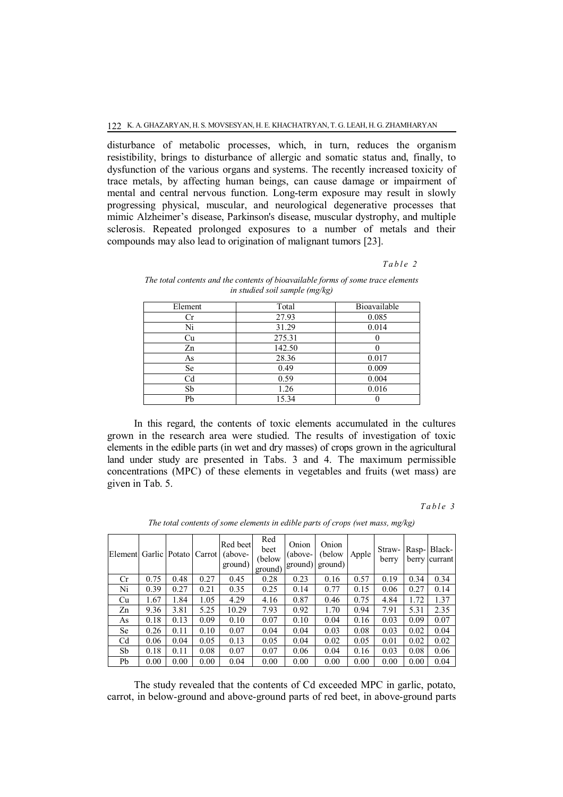disturbance of metabolic processes, which, in turn, reduces the organism resistibility, brings to disturbance of allergic and somatic status and, finally, to dysfunction of the various organs and systems. The recently increased toxicity of trace metals, by affecting human beings, can cause damage or impairment of mental and central nervous function. Long-term exposure may result in slowly progressing physical, muscular, and neurological degenerative processes that mimic Alzheimer's disease, Parkinson's disease, muscular dystrophy, and multiple sclerosis. Repeated prolonged exposures to a number of metals and their compounds may also lead to origination of malignant tumors [23].

# *T a b l e 2*

| Element        | Total  | Bioavailable |
|----------------|--------|--------------|
| Сr             | 27.93  | 0.085        |
| Ni             | 31.29  | 0.014        |
| Cu             | 275.31 |              |
| Zn             | 142.50 |              |
| As             | 28.36  | 0.017        |
| Se             | 0.49   | 0.009        |
| C <sub>d</sub> | 0.59   | 0.004        |
| Sb             | 1.26   | 0.016        |
| Pb             | 15.34  |              |

## *The total contents and the contents of bioavailable forms of some trace elements in studied soil sample (mg/kg)*

In this regard, the contents of toxic elements accumulated in the cultures grown in the research area were studied. The results of investigation of toxic elements in the edible parts (in wet and dry masses) of crops grown in the agricultural land under study are presented in Tabs. 3 and 4. The maximum permissible concentrations (MPC) of these elements in vegetables and fruits (wet mass) are given in Tab. 5.

## *T a b l e 3*

| Element Garlic |      | Potato | Carrot | Red beet<br>(above-<br>ground) | Red<br>beet<br>(below)<br>ground) | Onion<br>(above-<br>ground) | Onion<br>(below<br>ground) | Apple | Straw-<br>berry | Rasp-<br>berry | Black-<br>currant |
|----------------|------|--------|--------|--------------------------------|-----------------------------------|-----------------------------|----------------------------|-------|-----------------|----------------|-------------------|
| Cr             | 0.75 | 0.48   | 0.27   | 0.45                           | 0.28                              | 0.23                        | 0.16                       | 0.57  | 0.19            | 0.34           | 0.34              |
| Ni             | 0.39 | 0.27   | 0.21   | 0.35                           | 0.25                              | 0.14                        | 0.77                       | 0.15  | 0.06            | 0.27           | 0.14              |
| Cu             | 1.67 | 1.84   | 1.05   | 4.29                           | 4.16                              | 0.87                        | 0.46                       | 0.75  | 4.84            | 1.72           | 1.37              |
| Zn             | 9.36 | 3.81   | 5.25   | 10.29                          | 7.93                              | 0.92                        | 1.70                       | 0.94  | 7.91            | 5.31           | 2.35              |
| As             | 0.18 | 0.13   | 0.09   | 0.10                           | 0.07                              | 0.10                        | 0.04                       | 0.16  | 0.03            | 0.09           | 0.07              |
| Se             | 0.26 | 0.11   | 0.10   | 0.07                           | 0.04                              | 0.04                        | 0.03                       | 0.08  | 0.03            | 0.02           | 0.04              |
| C <sub>d</sub> | 0.06 | 0.04   | 0.05   | 0.13                           | 0.05                              | 0.04                        | 0.02                       | 0.05  | 0.01            | 0.02           | 0.02              |
| Sb             | 0.18 | 0.11   | 0.08   | 0.07                           | 0.07                              | 0.06                        | 0.04                       | 0.16  | 0.03            | 0.08           | 0.06              |
| Pb             | 0.00 | 0.00   | 0.00   | 0.04                           | 0.00                              | 0.00                        | 0.00                       | 0.00  | 0.00            | 0.00           | 0.04              |

*The total contents of some elements in edible parts of crops (wet mass, mg/kg)*

The study revealed that the contents of Cd exceeded MPC in garlic, potato, carrot, in below-ground and above-ground parts of red beet, in above-ground parts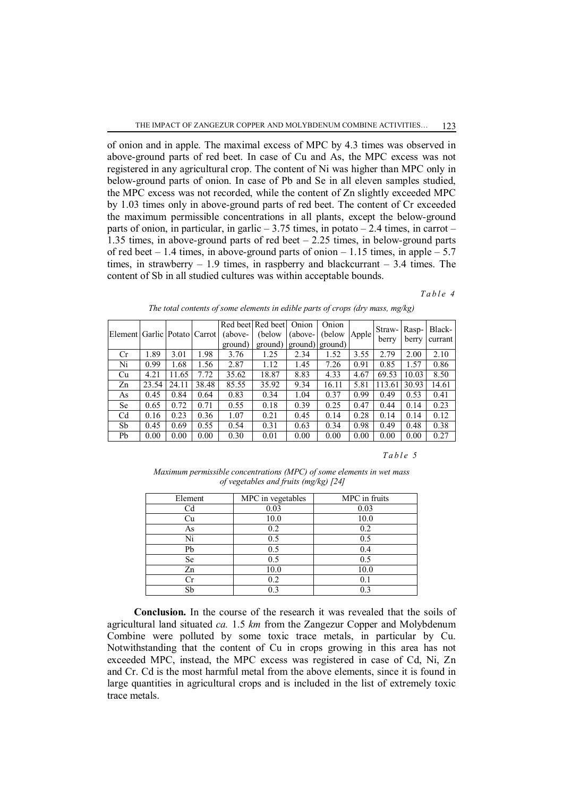of onion and in apple. The maximal excess of MPC by 4.3 times was observed in above-ground parts of red beet. In case of Cu and As, the MPC excess was not registered in any agricultural crop. The content of Ni was higher than MPC only in below-ground parts of onion. In case of Pb and Se in all eleven samples studied, the MPC excess was not recorded, while the content of Zn slightly exceeded MPC by 1.03 times only in above-ground parts of red beet. The content of Cr exceeded the maximum permissible concentrations in all plants, except the below-ground parts of onion, in particular, in garlic  $-3.75$  times, in potato  $-2.4$  times, in carrot  $-$ 1.35 times, in above-ground parts of red beet  $-2.25$  times, in below-ground parts of red beet  $-1.4$  times, in above-ground parts of onion  $-1.15$  times, in apple  $-5.7$ times, in strawberry  $-1.9$  times, in raspberry and blackcurrant  $-3.4$  times. The content of Sb in all studied cultures was within acceptable bounds.

### *T a b l e 4*

| <b>Element</b> |       |       | Garlic Potato Carrot | (above-<br>ground) | Red beet Red beet<br>(below)<br>ground) | Onion<br>$(above-$<br>ground) ground) | Onion<br>(below) | Apple | Straw-<br>berry | Rasp-<br>berry | Black-<br>currant |
|----------------|-------|-------|----------------------|--------------------|-----------------------------------------|---------------------------------------|------------------|-------|-----------------|----------------|-------------------|
| Cr             | 1.89  | 3.01  | 1.98                 | 3.76               | 1.25                                    | 2.34                                  | 1.52             | 3.55  | 2.79            | 2.00           | 2.10              |
| Ni             | 0.99  | 1.68  | 1.56                 | 2.87               | 1.12                                    | 1.45                                  | 7.26             | 0.91  | 0.85            | 1.57           | 0.86              |
| Сu             | 4.21  | 11.65 | 7.72                 | 35.62              | 18.87                                   | 8.83                                  | 4.33             | 4.67  | 69.53           | 10.03          | 8.50              |
| Zn             | 23.54 | 24.11 | 38.48                | 85.55              | 35.92                                   | 9.34                                  | 16.11            | 5.81  | 113.61          | 30.93          | 14.61             |
| As             | 0.45  | 0.84  | 0.64                 | 0.83               | 0.34                                    | 1.04                                  | 0.37             | 0.99  | 0.49            | 0.53           | 0.41              |
| Se             | 0.65  | 0.72  | 0.71                 | 0.55               | 0.18                                    | 0.39                                  | 0.25             | 0.47  | 0.44            | 0.14           | 0.23              |
| C <sub>d</sub> | 0.16  | 0.23  | 0.36                 | 1.07               | 0.21                                    | 0.45                                  | 0.14             | 0.28  | 0.14            | 0.14           | 0.12              |
| Sb             | 0.45  | 0.69  | 0.55                 | 0.54               | 0.31                                    | 0.63                                  | 0.34             | 0.98  | 0.49            | 0.48           | 0.38              |
| Pb             | 0.00  | 0.00  | 0.00                 | 0.30               | 0.01                                    | 0.00                                  | 0.00             | 0.00  | 0.00            | 0.00           | 0.27              |

*The total contents of some elements in edible parts of crops (dry mass, mg/kg)*

#### *T a b l e 5*

*Maximum permissible concentrations (MPC) of some elements in wet mass of vegetables and fruits (mg/kg) [24]*

| Element | MPC in vegetables | MPC in fruits |  |  |
|---------|-------------------|---------------|--|--|
| Cd      | 0.03              | 0.03          |  |  |
| Cu      | 10.0              | 10.0          |  |  |
| As      | 0.2               | 0.2           |  |  |
| Ni      | 0.5               | 0.5           |  |  |
| Pb      | 0.5               | 0.4           |  |  |
| Se      | 0.5               | 0.5           |  |  |
| Zn      | 10.0              | 10.0          |  |  |
|         | 0.2               | 0.1           |  |  |
| Sb      | 0 3               | 03            |  |  |

**Conclusion.** In the course of the research it was revealed that the soils of agricultural land situated *ca.* 1.5 *km* from the Zangezur Copper and Molybdenum Combine were polluted by some toxic trace metals, in particular by Cu. Notwithstanding that the content of Cu in crops growing in this area has not exceeded MPC, instead, the MPC excess was registered in case of Cd, Ni, Zn and Cr. Cd is the most harmful metal from the above elements, since it is found in large quantities in agricultural crops and is included in the list of extremely toxic trace metals.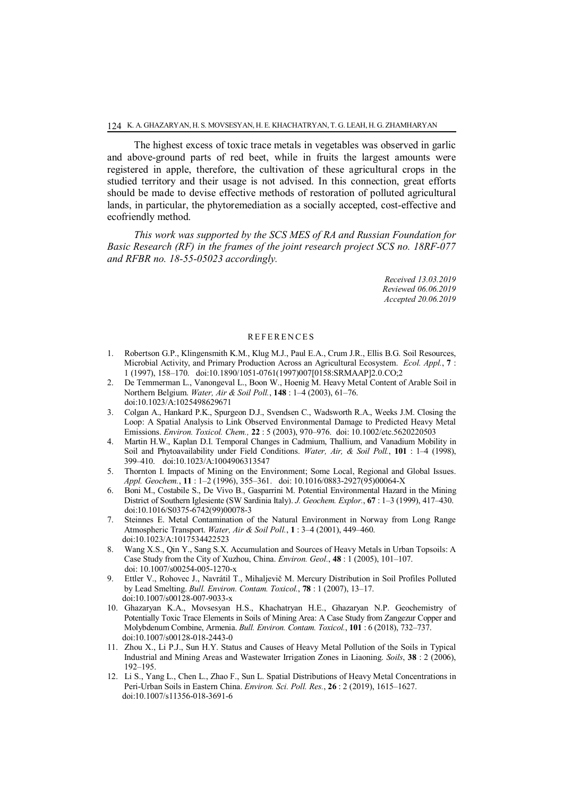The highest excess of toxic trace metals in vegetables was observed in garlic and above-ground parts of red beet, while in fruits the largest amounts were registered in apple, therefore, the cultivation of these agricultural crops in the studied territory and their usage is not advised. In this connection, great efforts should be made to devise effective methods of restoration of polluted agricultural lands, in particular, the phytoremediation as a socially accepted, cost-effective and ecofriendly method.

*This work was supported by the SCS MES of RA and Russian Foundation for Basic Research (RF) in the frames of the joint research project SCS no. 18RF-077 and RFBR no. 18-55-05023 accordingly.*

> *Received 13.03.2019 Reviewed 06.06.2019 Accepted 20.06.2019*

#### **REFERENCES**

- 1. Robertson G.P., Klingensmith K.M., Klug M.J., Paul E.A., Crum J.R., Ellis B.G. Soil Resources, Microbial Activity, and Primary Production Across an Agricultural Ecosystem. *Ecol. Appl.*, **7** : 1 (1997), 158–170. doi:10.1890/1051-0761(1997)007[0158:SRMAAP]2.0.CO;2
- 2. De Temmerman L., Vanongeval L., Boon W., Hoenig M. Heavy Metal Content of Arable Soil in Northern Belgium. *Water, Air & Soil Poll.*, **148** : 1–4 (2003), 61–76. doi:10.1023/A:1025498629671
- 3. Colgan A., Hankard P.K., Spurgeon D.J., Svendsen C., Wadsworth R.A., Weeks J.M. Closing the Loop: A Spatial Analysis to Link Observed Environmental Damage to Predicted Heavy Metal Emissions. *Environ. Toxicol. Chem.,* **22** : 5 (2003), 970–976. doi: 10.1002/etc.5620220503
- 4. Martin H.W., Kaplan D.I. Temporal Changes in Cadmium, Thallium, and Vanadium Mobility in Soil and Phytoavailability under Field Conditions. *Water, Air, & Soil Poll.*, **101** : 1–4 (1998), 399–410. doi:10.1023/A:1004906313547
- 5. Thornton I. Impacts of Mining on the Environment; Some Local, Regional and Global Issues. *Appl. Geochem.*, **11** : 1–2 (1996), 355–361. doi: 10.1016/0883-2927(95)00064-X
- 6. Boni M., Costabile S., De Vivo B., Gasparrini M. Potential Environmental Hazard in the Mining District of Southern Iglesiente (SW Sardinia Italy). *J. Geochem. Explor.*, **67** : 1–3 (1999), 417–430. doi:10.1016/S0375-6742(99)00078-3
- 7. Steinnes E. Metal Contamination of the Natural Environment in Norway from Long Range Atmospheric Transport. *Water, Air & Soil Poll.*, **1** : 3–4 (2001), 449–460. doi:10.1023/A:1017534422523
- 8. Wang X.S., Qin Y., Sang S.X. Accumulation and Sources of Heavy Metals in Urban Topsoils: A Case Study from the City of Xuzhou, China. *Environ. Geol.*, **48** : 1 (2005), 101–107. doi: 10.1007/s00254-005-1270-x
- 9. Ettler V., Rohovec J., Navrátil T., Mihaljevič M. Mercury Distribution in Soil Profiles Polluted by Lead Smelting. *Bull. Environ. Contam. Toxicol.*, **78** : 1 (2007), 13–17. doi:10.1007/s00128-007-9033-x
- 10. Ghazaryan K.A., Movsesyan H.S., Khachatryan H.E., Ghazaryan N.P. Geochemistry of Potentially Toxic Trace Elements in Soils of Mining Area: A Case Study from Zangezur Copper and Molybdenum Combine, Armenia. *Bull. Environ. Contam. Toxicol.*, **101** : 6 (2018), 732–737. doi:10.1007/s00128-018-2443-0
- 11. Zhou X., Li P.J., Sun H.Y. Status and Causes of Heavy Metal Pollution of the Soils in Typical Industrial and Mining Areas and Wastewater Irrigation Zones in Liaoning. *Soils*, **38** : 2 (2006), 192–195.
- 12. Li S., Yang L., Chen L., Zhao F., Sun L. Spatial Distributions of Heavy Metal Concentrations in Peri-Urban Soils in Eastern China. *Environ. Sci. Poll. Res.*, **26** : 2 (2019), 1615–1627. doi:10.1007/s11356-018-3691-6